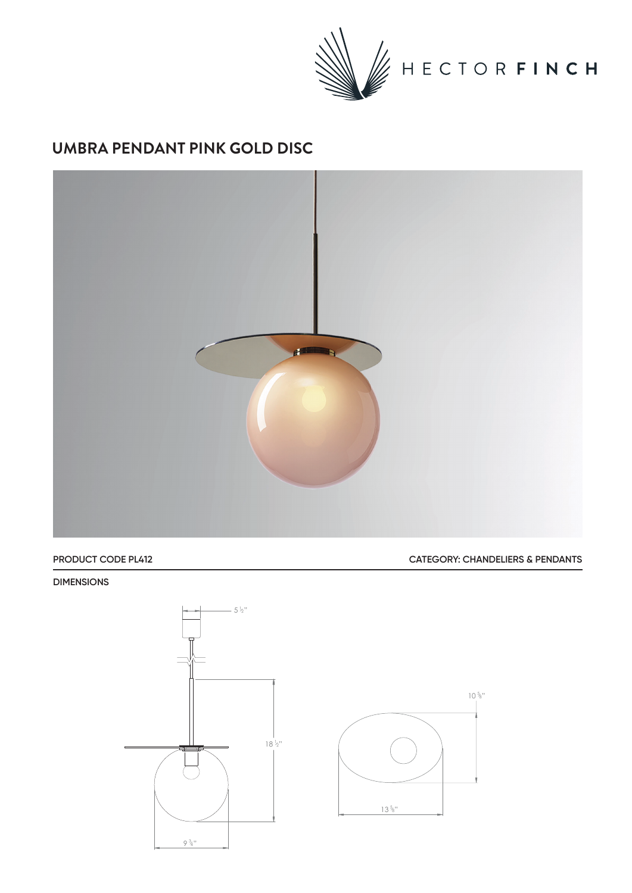

## **UMBRA PENDANT PINK GOLD DISC**



**PRODUCT CODE PL412 CATEGORY: CHANDELIERS & PENDANTS**

 $10\frac{5}{8}$ "

## **DIMENSIONS**